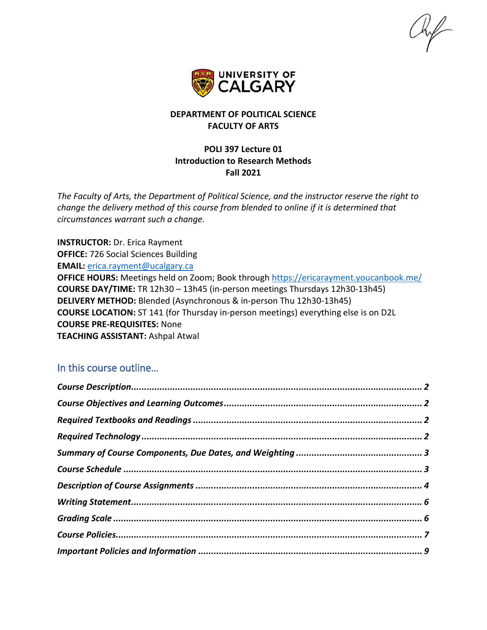

### **DEPARTMENT OF POLITICAL SCIENCE FACULTY OF ARTS**

### **POLI 397 Lecture 01 Introduction to Research Methods Fall 2021**

*The Faculty of Arts, the Department of Political Science, and the instructor reserve the right to change the delivery method of this course from blended to online if it is determined that circumstances warrant such a change.*

**INSTRUCTOR:** Dr. Erica Rayment **OFFICE:** 726 Social Sciences Building **EMAIL:** [erica.rayment@ucalgary.ca](mailto:erica.rayment@ucalgary.ca) **OFFICE HOURS:** Meetings held on Zoom; Book through<https://ericarayment.youcanbook.me/> **COURSE DAY/TIME:** TR 12h30 – 13h45 (in-person meetings Thursdays 12h30-13h45) **DELIVERY METHOD:** Blended (Asynchronous & in-person Thu 12h30-13h45) **COURSE LOCATION:** ST 141 (for Thursday in-person meetings) everything else is on D2L **COURSE PRE-REQUISITES:** None **TEACHING ASSISTANT:** Ashpal Atwal

## In this course outline…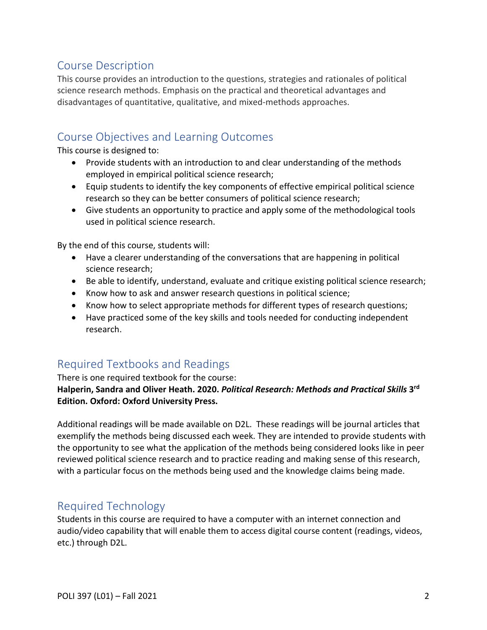# <span id="page-1-0"></span>Course Description

This course provides an introduction to the questions, strategies and rationales of political science research methods. Emphasis on the practical and theoretical advantages and disadvantages of quantitative, qualitative, and mixed-methods approaches.

# <span id="page-1-1"></span>Course Objectives and Learning Outcomes

This course is designed to:

- Provide students with an introduction to and clear understanding of the methods employed in empirical political science research;
- Equip students to identify the key components of effective empirical political science research so they can be better consumers of political science research;
- Give students an opportunity to practice and apply some of the methodological tools used in political science research.

By the end of this course, students will:

- Have a clearer understanding of the conversations that are happening in political science research;
- Be able to identify, understand, evaluate and critique existing political science research;
- Know how to ask and answer research questions in political science;
- Know how to select appropriate methods for different types of research questions;
- Have practiced some of the key skills and tools needed for conducting independent research.

# <span id="page-1-2"></span>Required Textbooks and Readings

### There is one required textbook for the course:

**Halperin, Sandra and Oliver Heath. 2020.** *Political Research: Methods and Practical Skills* **3rd Edition. Oxford: Oxford University Press.** 

Additional readings will be made available on D2L. These readings will be journal articles that exemplify the methods being discussed each week. They are intended to provide students with the opportunity to see what the application of the methods being considered looks like in peer reviewed political science research and to practice reading and making sense of this research, with a particular focus on the methods being used and the knowledge claims being made.

# <span id="page-1-3"></span>Required Technology

Students in this course are required to have a computer with an internet connection and audio/video capability that will enable them to access digital course content (readings, videos, etc.) through D2L.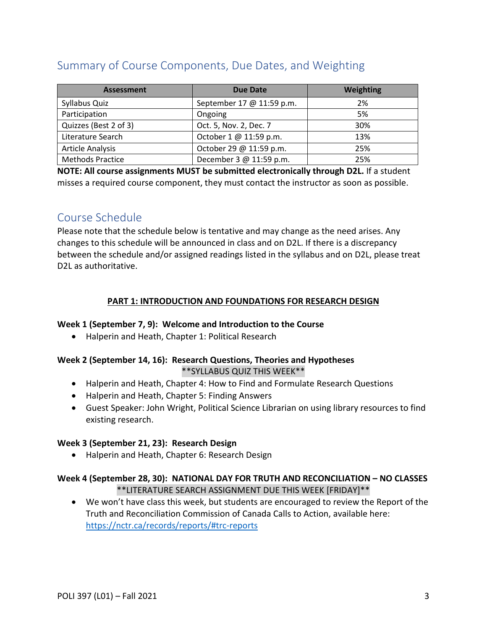# <span id="page-2-0"></span>Summary of Course Components, Due Dates, and Weighting

| <b>Assessment</b>       | Due Date                  | Weighting |
|-------------------------|---------------------------|-----------|
| Syllabus Quiz           | September 17 @ 11:59 p.m. | 2%        |
| Participation           | Ongoing                   | 5%        |
| Quizzes (Best 2 of 3)   | Oct. 5, Nov. 2, Dec. 7    | 30%       |
| Literature Search       | October 1 @ 11:59 p.m.    | 13%       |
| <b>Article Analysis</b> | October 29 @ 11:59 p.m.   | 25%       |
| <b>Methods Practice</b> | December 3 @ 11:59 p.m.   | 25%       |

**NOTE: All course assignments MUST be submitted electronically through D2L.** If a student misses a required course component, they must contact the instructor as soon as possible.

## <span id="page-2-1"></span>Course Schedule

Please note that the schedule below is tentative and may change as the need arises. Any changes to this schedule will be announced in class and on D2L. If there is a discrepancy between the schedule and/or assigned readings listed in the syllabus and on D2L, please treat D2L as authoritative.

### **PART 1: INTRODUCTION AND FOUNDATIONS FOR RESEARCH DESIGN**

#### **Week 1 (September 7, 9): Welcome and Introduction to the Course**

• Halperin and Heath, Chapter 1: Political Research

#### **Week 2 (September 14, 16): Research Questions, Theories and Hypotheses** \*\*SYLLABUS QUIZ THIS WEEK\*\*

- Halperin and Heath, Chapter 4: How to Find and Formulate Research Questions
- Halperin and Heath, Chapter 5: Finding Answers
- Guest Speaker: John Wright, Political Science Librarian on using library resources to find existing research.

#### **Week 3 (September 21, 23): Research Design**

• Halperin and Heath, Chapter 6: Research Design

### **Week 4 (September 28, 30): NATIONAL DAY FOR TRUTH AND RECONCILIATION – NO CLASSES** \*\*LITERATURE SEARCH ASSIGNMENT DUE THIS WEEK [FRIDAY]\*\*

• We won't have class this week, but students are encouraged to review the Report of the Truth and Reconciliation Commission of Canada Calls to Action, available here: <https://nctr.ca/records/reports/#trc-reports>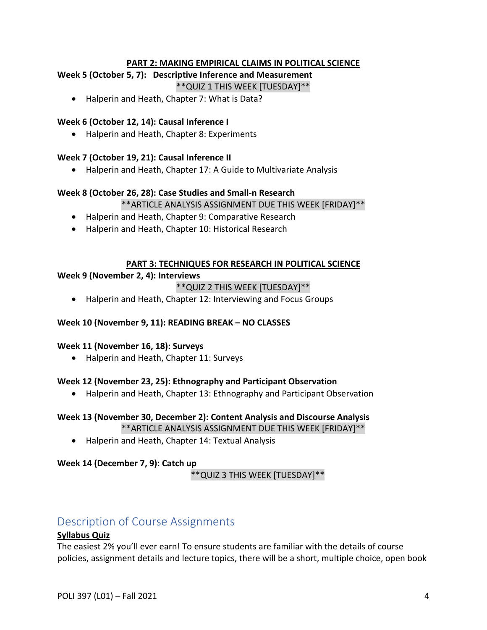#### **PART 2: MAKING EMPIRICAL CLAIMS IN POLITICAL SCIENCE**

### **Week 5 (October 5, 7): Descriptive Inference and Measurement**

\*\*QUIZ 1 THIS WEEK [TUESDAY]\*\*

• Halperin and Heath, Chapter 7: What is Data?

#### **Week 6 (October 12, 14): Causal Inference I**

• Halperin and Heath, Chapter 8: Experiments

#### **Week 7 (October 19, 21): Causal Inference II**

• Halperin and Heath, Chapter 17: A Guide to Multivariate Analysis

#### **Week 8 (October 26, 28): Case Studies and Small-n Research**

\*\*ARTICLE ANALYSIS ASSIGNMENT DUE THIS WEEK [FRIDAY]\*\*

- Halperin and Heath, Chapter 9: Comparative Research
- Halperin and Heath, Chapter 10: Historical Research

#### **PART 3: TECHNIQUES FOR RESEARCH IN POLITICAL SCIENCE**

#### **Week 9 (November 2, 4): Interviews**

### \*\*QUIZ 2 THIS WEEK [TUESDAY]\*\*

• Halperin and Heath, Chapter 12: Interviewing and Focus Groups

#### **Week 10 (November 9, 11): READING BREAK – NO CLASSES**

#### **Week 11 (November 16, 18): Surveys**

• Halperin and Heath, Chapter 11: Surveys

#### **Week 12 (November 23, 25): Ethnography and Participant Observation**

• Halperin and Heath, Chapter 13: Ethnography and Participant Observation

## **Week 13 (November 30, December 2): Content Analysis and Discourse Analysis**

\*\*ARTICLE ANALYSIS ASSIGNMENT DUE THIS WEEK [FRIDAY]\*\*

• Halperin and Heath, Chapter 14: Textual Analysis

#### **Week 14 (December 7, 9): Catch up**

\*\*QUIZ 3 THIS WEEK [TUESDAY]\*\*

## <span id="page-3-0"></span>Description of Course Assignments

#### **Syllabus Quiz**

The easiest 2% you'll ever earn! To ensure students are familiar with the details of course policies, assignment details and lecture topics, there will be a short, multiple choice, open book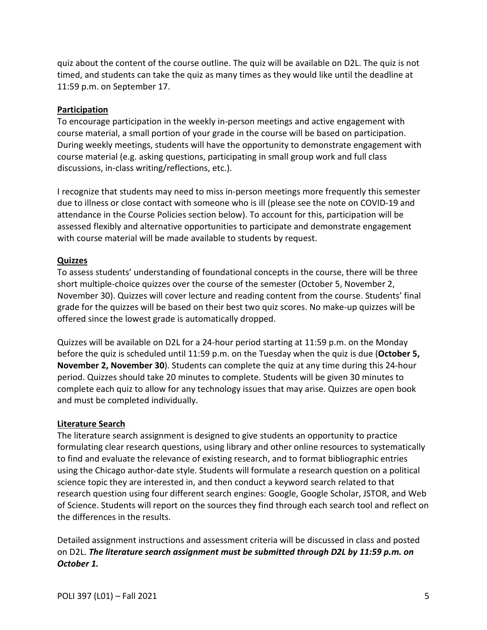quiz about the content of the course outline. The quiz will be available on D2L. The quiz is not timed, and students can take the quiz as many times as they would like until the deadline at 11:59 p.m. on September 17.

#### **Participation**

To encourage participation in the weekly in-person meetings and active engagement with course material, a small portion of your grade in the course will be based on participation. During weekly meetings, students will have the opportunity to demonstrate engagement with course material (e.g. asking questions, participating in small group work and full class discussions, in-class writing/reflections, etc.).

I recognize that students may need to miss in-person meetings more frequently this semester due to illness or close contact with someone who is ill (please see the note on COVID-19 and attendance in the Course Policies section below). To account for this, participation will be assessed flexibly and alternative opportunities to participate and demonstrate engagement with course material will be made available to students by request.

### **Quizzes**

To assess students' understanding of foundational concepts in the course, there will be three short multiple-choice quizzes over the course of the semester (October 5, November 2, November 30). Quizzes will cover lecture and reading content from the course. Students' final grade for the quizzes will be based on their best two quiz scores. No make-up quizzes will be offered since the lowest grade is automatically dropped.

Quizzes will be available on D2L for a 24-hour period starting at 11:59 p.m. on the Monday before the quiz is scheduled until 11:59 p.m. on the Tuesday when the quiz is due (**October 5, November 2, November 30**). Students can complete the quiz at any time during this 24-hour period. Quizzes should take 20 minutes to complete. Students will be given 30 minutes to complete each quiz to allow for any technology issues that may arise. Quizzes are open book and must be completed individually.

#### **Literature Search**

The literature search assignment is designed to give students an opportunity to practice formulating clear research questions, using library and other online resources to systematically to find and evaluate the relevance of existing research, and to format bibliographic entries using the Chicago author-date style. Students will formulate a research question on a political science topic they are interested in, and then conduct a keyword search related to that research question using four different search engines: Google, Google Scholar, JSTOR, and Web of Science. Students will report on the sources they find through each search tool and reflect on the differences in the results.

Detailed assignment instructions and assessment criteria will be discussed in class and posted on D2L. *The literature search assignment must be submitted through D2L by 11:59 p.m. on October 1.*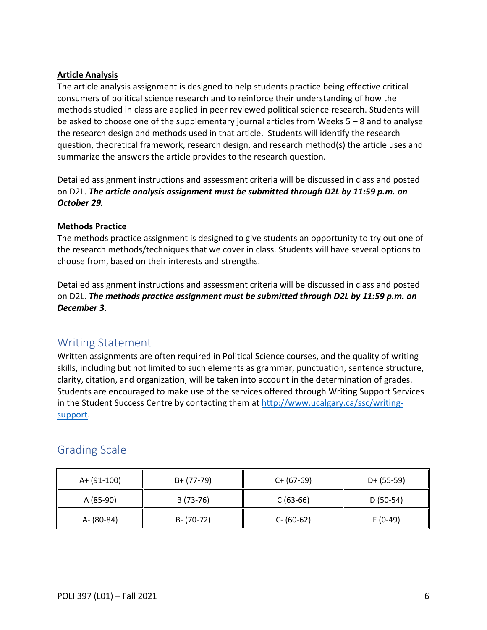#### **Article Analysis**

The article analysis assignment is designed to help students practice being effective critical consumers of political science research and to reinforce their understanding of how the methods studied in class are applied in peer reviewed political science research. Students will be asked to choose one of the supplementary journal articles from Weeks 5 – 8 and to analyse the research design and methods used in that article. Students will identify the research question, theoretical framework, research design, and research method(s) the article uses and summarize the answers the article provides to the research question.

Detailed assignment instructions and assessment criteria will be discussed in class and posted on D2L. *The article analysis assignment must be submitted through D2L by 11:59 p.m. on October 29.*

#### **Methods Practice**

The methods practice assignment is designed to give students an opportunity to try out one of the research methods/techniques that we cover in class. Students will have several options to choose from, based on their interests and strengths.

Detailed assignment instructions and assessment criteria will be discussed in class and posted on D2L. *The methods practice assignment must be submitted through D2L by 11:59 p.m. on December 3*.

## <span id="page-5-0"></span>Writing Statement

Written assignments are often required in Political Science courses, and the quality of writing skills, including but not limited to such elements as grammar, punctuation, sentence structure, clarity, citation, and organization, will be taken into account in the determination of grades. Students are encouraged to make use of the services offered through Writing Support Services in the Student Success Centre by contacting them at [http://www.ucalgary.ca/ssc/writing](http://www.ucalgary.ca/ssc/writing-support)[support.](http://www.ucalgary.ca/ssc/writing-support)

## <span id="page-5-1"></span>Grading Scale

| A+ (91-100) | B+ (77-79)    | $C+ (67-69)$  | $D+ (55-59)$ |
|-------------|---------------|---------------|--------------|
| A (85-90)   | B (73-76)     | $C(63-66)$    | $D(50-54)$   |
| A- (80-84)  | $B - (70-72)$ | $C - (60-62)$ | $F(0-49)$    |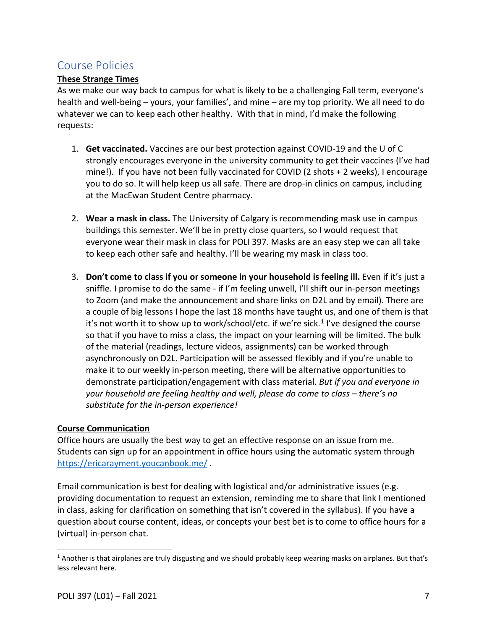## <span id="page-6-0"></span>Course Policies

### **These Strange Times**

As we make our way back to campus for what is likely to be a challenging Fall term, everyone's health and well-being – yours, your families', and mine – are my top priority. We all need to do whatever we can to keep each other healthy. With that in mind, I'd make the following requests:

- 1. **Get vaccinated.** Vaccines are our best protection against COVID-19 and the U of C strongly encourages everyone in the university community to get their vaccines (I've had mine!). If you have not been fully vaccinated for COVID (2 shots + 2 weeks), I encourage you to do so. It will help keep us all safe. There are drop-in clinics on campus, including at the MacEwan Student Centre pharmacy.
- 2. **Wear a mask in class.** The University of Calgary is recommending mask use in campus buildings this semester. We'll be in pretty close quarters, so I would request that everyone wear their mask in class for POLI 397. Masks are an easy step we can all take to keep each other safe and healthy. I'll be wearing my mask in class too.
- 3. **Don't come to class if you or someone in your household is feeling ill.** Even if it's just a sniffle. I promise to do the same - if I'm feeling unwell, I'll shift our in-person meetings to Zoom (and make the announcement and share links on D2L and by email). There are a couple of big lessons I hope the last 18 months have taught us, and one of them is that it's not worth it to show up to work/school/etc. if we're sick.<sup>[1](#page-6-1)</sup> I've designed the course so that if you have to miss a class, the impact on your learning will be limited. The bulk of the material (readings, lecture videos, assignments) can be worked through asynchronously on D2L. Participation will be assessed flexibly and if you're unable to make it to our weekly in-person meeting, there will be alternative opportunities to demonstrate participation/engagement with class material. *But if you and everyone in your household are feeling healthy and well, please do come to class – there's no substitute for the in-person experience!*

### **Course Communication**

Office hours are usually the best way to get an effective response on an issue from me. Students can sign up for an appointment in office hours using the automatic system through <https://ericarayment.youcanbook.me/> .

Email communication is best for dealing with logistical and/or administrative issues (e.g. providing documentation to request an extension, reminding me to share that link I mentioned in class, asking for clarification on something that isn't covered in the syllabus). If you have a question about course content, ideas, or concepts your best bet is to come to office hours for a (virtual) in-person chat.

<span id="page-6-1"></span> $1$  Another is that airplanes are truly disgusting and we should probably keep wearing masks on airplanes. But that's less relevant here.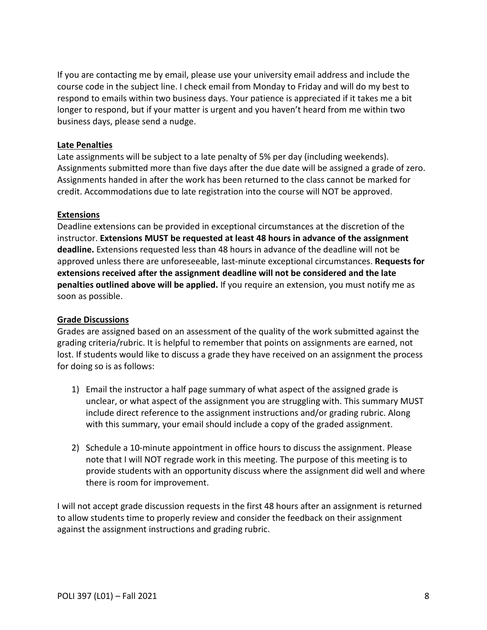If you are contacting me by email, please use your university email address and include the course code in the subject line. I check email from Monday to Friday and will do my best to respond to emails within two business days. Your patience is appreciated if it takes me a bit longer to respond, but if your matter is urgent and you haven't heard from me within two business days, please send a nudge.

#### **Late Penalties**

Late assignments will be subject to a late penalty of 5% per day (including weekends). Assignments submitted more than five days after the due date will be assigned a grade of zero. Assignments handed in after the work has been returned to the class cannot be marked for credit. Accommodations due to late registration into the course will NOT be approved.

#### **Extensions**

Deadline extensions can be provided in exceptional circumstances at the discretion of the instructor. **Extensions MUST be requested at least 48 hours in advance of the assignment deadline.** Extensions requested less than 48 hours in advance of the deadline will not be approved unless there are unforeseeable, last-minute exceptional circumstances. **Requests for extensions received after the assignment deadline will not be considered and the late penalties outlined above will be applied.** If you require an extension, you must notify me as soon as possible.

#### **Grade Discussions**

Grades are assigned based on an assessment of the quality of the work submitted against the grading criteria/rubric. It is helpful to remember that points on assignments are earned, not lost. If students would like to discuss a grade they have received on an assignment the process for doing so is as follows:

- 1) Email the instructor a half page summary of what aspect of the assigned grade is unclear, or what aspect of the assignment you are struggling with. This summary MUST include direct reference to the assignment instructions and/or grading rubric. Along with this summary, your email should include a copy of the graded assignment.
- 2) Schedule a 10-minute appointment in office hours to discuss the assignment. Please note that I will NOT regrade work in this meeting. The purpose of this meeting is to provide students with an opportunity discuss where the assignment did well and where there is room for improvement.

I will not accept grade discussion requests in the first 48 hours after an assignment is returned to allow students time to properly review and consider the feedback on their assignment against the assignment instructions and grading rubric.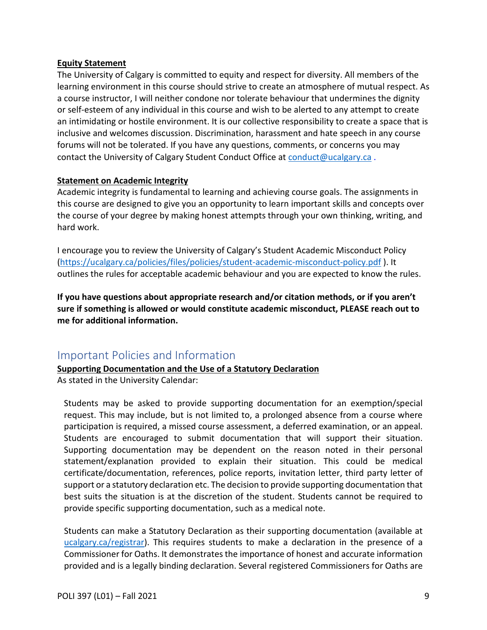#### **Equity Statement**

The University of Calgary is committed to equity and respect for diversity. All members of the learning environment in this course should strive to create an atmosphere of mutual respect. As a course instructor, I will neither condone nor tolerate behaviour that undermines the dignity or self-esteem of any individual in this course and wish to be alerted to any attempt to create an intimidating or hostile environment. It is our collective responsibility to create a space that is inclusive and welcomes discussion. Discrimination, harassment and hate speech in any course forums will not be tolerated. If you have any questions, comments, or concerns you may contact the University of Calgary Student Conduct Office at [conduct@ucalgary.ca](mailto:conduct@ucalgary.ca) .

#### **Statement on Academic Integrity**

Academic integrity is fundamental to learning and achieving course goals. The assignments in this course are designed to give you an opportunity to learn important skills and concepts over the course of your degree by making honest attempts through your own thinking, writing, and hard work.

I encourage you to review the University of Calgary's Student Academic Misconduct Policy [\(https://ucalgary.ca/policies/files/policies/student-academic-misconduct-policy.pdf](https://ucalgary.ca/policies/files/policies/student-academic-misconduct-policy.pdf) ). It outlines the rules for acceptable academic behaviour and you are expected to know the rules.

**If you have questions about appropriate research and/or citation methods, or if you aren't sure if something is allowed or would constitute academic misconduct, PLEASE reach out to me for additional information.** 

## <span id="page-8-0"></span>Important Policies and Information

#### **Supporting Documentation and the Use of a Statutory Declaration**

As stated in the University Calendar:

Students may be asked to provide supporting documentation for an exemption/special request. This may include, but is not limited to, a prolonged absence from a course where participation is required, a missed course assessment, a deferred examination, or an appeal. Students are encouraged to submit documentation that will support their situation. Supporting documentation may be dependent on the reason noted in their personal statement/explanation provided to explain their situation. This could be medical certificate/documentation, references, police reports, invitation letter, third party letter of support or a statutory declaration etc. The decision to provide supporting documentation that best suits the situation is at the discretion of the student. Students cannot be required to provide specific supporting documentation, such as a medical note.

Students can make a Statutory Declaration as their supporting documentation (available at ucalgary.ca/registrar). This requires students to make a declaration in the presence of a Commissioner for Oaths. It demonstrates the importance of honest and accurate information provided and is a legally binding declaration. Several registered Commissioners for Oaths are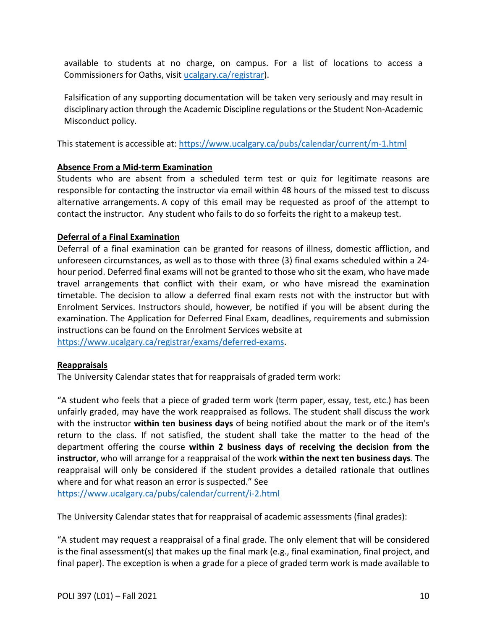available to students at no charge, on campus. For a list of locations to access a Commissioners for Oaths, visit [ucalgary.ca/registrar\)](http://www.ucalgary.ca/registrar).

Falsification of any supporting documentation will be taken very seriously and may result in disciplinary action through the Academic Discipline regulations or the Student Non-Academic Misconduct policy.

This statement is accessible at:<https://www.ucalgary.ca/pubs/calendar/current/m-1.html>

### **Absence From a Mid-term Examination**

Students who are absent from a scheduled term test or quiz for legitimate reasons are responsible for contacting the instructor via email within 48 hours of the missed test to discuss alternative arrangements. A copy of this email may be requested as proof of the attempt to contact the instructor. Any student who fails to do so forfeits the right to a makeup test.

### **Deferral of a Final Examination**

Deferral of a final examination can be granted for reasons of illness, domestic affliction, and unforeseen circumstances, as well as to those with three (3) final exams scheduled within a 24 hour period. Deferred final exams will not be granted to those who sit the exam, who have made travel arrangements that conflict with their exam, or who have misread the examination timetable. The decision to allow a deferred final exam rests not with the instructor but with Enrolment Services. Instructors should, however, be notified if you will be absent during the examination. The Application for Deferred Final Exam, deadlines, requirements and submission instructions can be found on the Enrolment Services website at [https://www.ucalgary.ca/registrar/exams/deferred-exams.](https://www.ucalgary.ca/registrar/exams/deferred-exams)

### **Reappraisals**

The University Calendar states that for reappraisals of graded term work:

"A student who feels that a piece of graded term work (term paper, essay, test, etc.) has been unfairly graded, may have the work reappraised as follows. The student shall discuss the work with the instructor **within ten business days** of being notified about the mark or of the item's return to the class. If not satisfied, the student shall take the matter to the head of the department offering the course **within 2 business days of receiving the decision from the instructor**, who will arrange for a reappraisal of the work **within the next ten business days**. The reappraisal will only be considered if the student provides a detailed rationale that outlines where and for what reason an error is suspected." See

<https://www.ucalgary.ca/pubs/calendar/current/i-2.html>

The University Calendar states that for reappraisal of academic assessments (final grades):

"A student may request a reappraisal of a final grade. The only element that will be considered is the final assessment(s) that makes up the final mark (e.g., final examination, final project, and final paper). The exception is when a grade for a piece of graded term work is made available to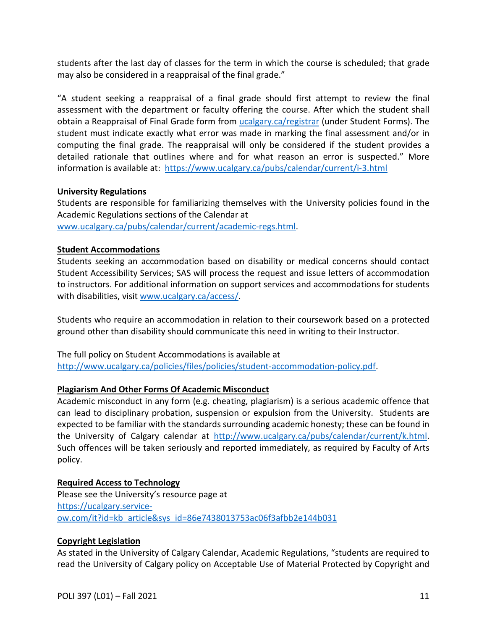students after the last day of classes for the term in which the course is scheduled; that grade may also be considered in a reappraisal of the final grade."

"A student seeking a reappraisal of a final grade should first attempt to review the final assessment with the department or faculty offering the course. After which the student shall obtain a Reappraisal of Final Grade form from [ucalgary.ca/registrar](https://www.ucalgary.ca/registrar/home) (under Student Forms). The student must indicate exactly what error was made in marking the final assessment and/or in computing the final grade. The reappraisal will only be considered if the student provides a detailed rationale that outlines where and for what reason an error is suspected." More information is available at: <https://www.ucalgary.ca/pubs/calendar/current/i-3.html>

#### **University Regulations**

Students are responsible for familiarizing themselves with the University policies found in the Academic Regulations sections of the Calendar at [www.ucalgary.ca/pubs/calendar/current/academic-regs.html.](http://www.ucalgary.ca/pubs/calendar/current/academic-regs.html)

#### **Student Accommodations**

Students seeking an accommodation based on disability or medical concerns should contact Student Accessibility Services; SAS will process the request and issue letters of accommodation to instructors. For additional information on support services and accommodations for students with disabilities, visit [www.ucalgary.ca/access/.](http://www.ucalgary.ca/access/)

Students who require an accommodation in relation to their coursework based on a protected ground other than disability should communicate this need in writing to their Instructor.

The full policy on Student Accommodations is available at [http://www.ucalgary.ca/policies/files/policies/student-accommodation-policy.pdf.](http://www.ucalgary.ca/policies/files/policies/student-accommodation-policy.pdf)

### **Plagiarism And Other Forms Of Academic Misconduct**

Academic misconduct in any form (e.g. cheating, plagiarism) is a serious academic offence that can lead to disciplinary probation, suspension or expulsion from the University. Students are expected to be familiar with the standards surrounding academic honesty; these can be found in the University of Calgary calendar at [http://www.ucalgary.ca/pubs/calendar/current/k.html.](http://www.ucalgary.ca/pubs/calendar/current/k.html) Such offences will be taken seriously and reported immediately, as required by Faculty of Arts policy.

#### **Required Access to Technology**

Please see the University's resource page at [https://ucalgary.service](https://ucalgary.service-ow.com/it?id=kb_article&sys_id=86e7438013753ac06f3afbb2e144b031)[ow.com/it?id=kb\\_article&sys\\_id=86e7438013753ac06f3afbb2e144b031](https://ucalgary.service-ow.com/it?id=kb_article&sys_id=86e7438013753ac06f3afbb2e144b031)

#### **Copyright Legislation**

As stated in the University of Calgary Calendar, Academic Regulations, "students are required to read the University of Calgary policy on Acceptable Use of Material Protected by Copyright and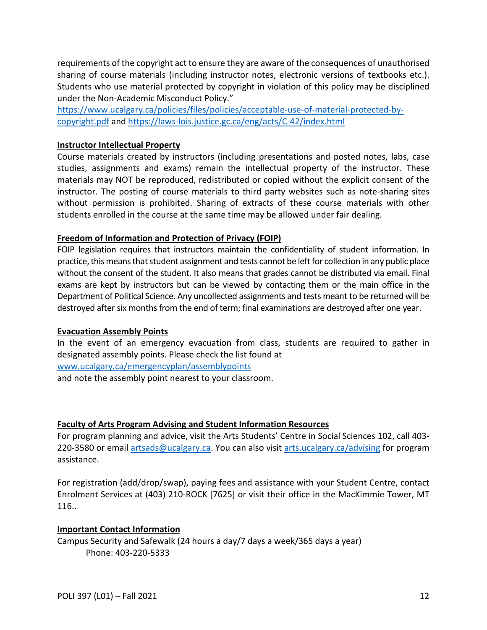requirements of the copyright act to ensure they are aware of the consequences of unauthorised sharing of course materials (including instructor notes, electronic versions of textbooks etc.). Students who use material protected by copyright in violation of this policy may be disciplined under the Non-Academic Misconduct Policy."

[https://www.ucalgary.ca/policies/files/policies/acceptable-use-of-material-protected-by](https://www.ucalgary.ca/policies/files/policies/acceptable-use-of-material-protected-by-copyright.pdf)[copyright.pdf](https://www.ucalgary.ca/policies/files/policies/acceptable-use-of-material-protected-by-copyright.pdf) and<https://laws-lois.justice.gc.ca/eng/acts/C-42/index.html>

#### **Instructor Intellectual Property**

Course materials created by instructors (including presentations and posted notes, labs, case studies, assignments and exams) remain the intellectual property of the instructor. These materials may NOT be reproduced, redistributed or copied without the explicit consent of the instructor. The posting of course materials to third party websites such as note-sharing sites without permission is prohibited. Sharing of extracts of these course materials with other students enrolled in the course at the same time may be allowed under fair dealing.

#### **Freedom of Information and Protection of Privacy (FOIP)**

FOIP legislation requires that instructors maintain the confidentiality of student information. In practice, this means that student assignment and tests cannot be left for collection in any public place without the consent of the student. It also means that grades cannot be distributed via email. Final exams are kept by instructors but can be viewed by contacting them or the main office in the Department of Political Science. Any uncollected assignments and tests meant to be returned will be destroyed after six months from the end of term; final examinations are destroyed after one year.

#### **Evacuation Assembly Points**

In the event of an emergency evacuation from class, students are required to gather in designated assembly points. Please check the list found at [www.ucalgary.ca/emergencyplan/assemblypoints](http://www.ucalgary.ca/emergencyplan/assemblypoints) and note the assembly point nearest to your classroom.

#### **Faculty of Arts Program Advising and Student Information Resources**

For program planning and advice, visit the Arts Students' Centre in Social Sciences 102, call 403- 220-3580 or email [artsads@ucalgary.ca.](mailto:artsads@ucalgary.ca) You can also visit [arts.ucalgary.ca/advising](http://arts.ucalgary.ca/advising) for program assistance.

For registration (add/drop/swap), paying fees and assistance with your Student Centre, contact Enrolment Services at (403) 210-ROCK [7625] or visit their office in the MacKimmie Tower, MT 116..

#### **Important Contact Information**

Campus Security and Safewalk (24 hours a day/7 days a week/365 days a year) Phone: 403-220-5333